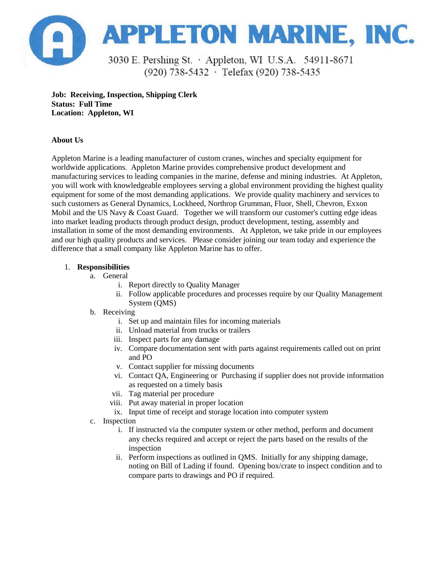

**Job: Receiving, Inspection, Shipping Clerk Status: Full Time Location: Appleton, WI**

## **About Us**

Appleton Marine is a leading manufacturer of custom cranes, winches and specialty equipment for worldwide applications. Appleton Marine provides comprehensive product development and manufacturing services to leading companies in the marine, defense and mining industries. At Appleton, you will work with knowledgeable employees serving a global environment providing the highest quality equipment for some of the most demanding applications. We provide quality machinery and services to such customers as General Dynamics, Lockheed, Northrop Grumman, Fluor, Shell, Chevron, Exxon Mobil and the US Navy & Coast Guard. Together we will transform our customer's cutting edge ideas into market leading products through product design, product development, testing, assembly and installation in some of the most demanding environments. At Appleton, we take pride in our employees and our high quality products and services. Please consider joining our team today and experience the difference that a small company like Appleton Marine has to offer.

## 1. **Responsibilities**

- a. General
	- i. Report directly to Quality Manager
	- ii. Follow applicable procedures and processes require by our Quality Management System (QMS)
- b. Receiving
	- i. Set up and maintain files for incoming materials
	- ii. Unload material from trucks or trailers
	- iii. Inspect parts for any damage
	- iv. Compare documentation sent with parts against requirements called out on print and PO
	- v. Contact supplier for missing documents
	- vi. Contact QA, Engineering or Purchasing if supplier does not provide information as requested on a timely basis
	- vii. Tag material per procedure
	- viii. Put away material in proper location
	- ix. Input time of receipt and storage location into computer system
- c. Inspection
	- i. If instructed via the computer system or other method, perform and document any checks required and accept or reject the parts based on the results of the inspection
	- ii. Perform inspections as outlined in QMS. Initially for any shipping damage, noting on Bill of Lading if found. Opening box/crate to inspect condition and to compare parts to drawings and PO if required.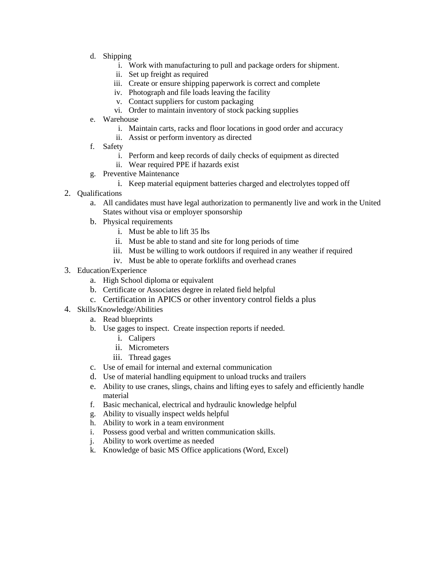- d. Shipping
	- i. Work with manufacturing to pull and package orders for shipment.
	- ii. Set up freight as required
	- iii. Create or ensure shipping paperwork is correct and complete
	- iv. Photograph and file loads leaving the facility
	- v. Contact suppliers for custom packaging
	- vi. Order to maintain inventory of stock packing supplies
- e. Warehouse
	- i. Maintain carts, racks and floor locations in good order and accuracy
	- ii. Assist or perform inventory as directed
- f. Safety
	- i. Perform and keep records of daily checks of equipment as directed
	- ii. Wear required PPE if hazards exist
- g. Preventive Maintenance
	- i. Keep material equipment batteries charged and electrolytes topped off
- 2. Qualifications
	- a. All candidates must have legal authorization to permanently live and work in the United States without visa or employer sponsorship
	- b. Physical requirements
		- i. Must be able to lift 35 lbs
		- ii. Must be able to stand and site for long periods of time
		- iii. Must be willing to work outdoors if required in any weather if required
		- iv. Must be able to operate forklifts and overhead cranes
- 3. Education/Experience
	- a. High School diploma or equivalent
	- b. Certificate or Associates degree in related field helpful
	- c. Certification in APICS or other inventory control fields a plus
- 4. Skills/Knowledge/Abilities
	- a. Read blueprints
	- b. Use gages to inspect. Create inspection reports if needed.
		- i. Calipers
		- ii. Micrometers
		- iii. Thread gages
	- c. Use of email for internal and external communication
	- d. Use of material handling equipment to unload trucks and trailers
	- e. Ability to use cranes, slings, chains and lifting eyes to safely and efficiently handle material
	- f. Basic mechanical, electrical and hydraulic knowledge helpful
	- g. Ability to visually inspect welds helpful
	- h. Ability to work in a team environment
	- i. Possess good verbal and written communication skills.
	- j. Ability to work overtime as needed
	- k. Knowledge of basic MS Office applications (Word, Excel)